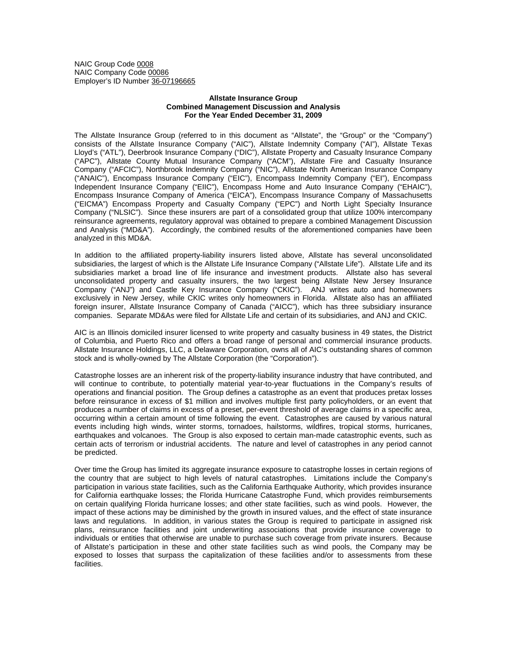NAIC Group Code 0008 NAIC Company Code 00086 Employer's ID Number 36-07196665

## **Allstate Insurance Group Combined Management Discussion and Analysis For the Year Ended December 31, 2009**

The Allstate Insurance Group (referred to in this document as "Allstate", the "Group" or the "Company") consists of the Allstate Insurance Company ("AIC"), Allstate Indemnity Company ("AI"), Allstate Texas Lloyd's ("ATL"), Deerbrook Insurance Company ("DIC"), Allstate Property and Casualty Insurance Company ("APC"), Allstate County Mutual Insurance Company ("ACM"), Allstate Fire and Casualty Insurance Company ("AFCIC"), Northbrook Indemnity Company ("NIC"), Allstate North American Insurance Company ("ANAIC"), Encompass Insurance Company ("EIC"), Encompass Indemnity Company ("EI"), Encompass Independent Insurance Company ("EIIC"), Encompass Home and Auto Insurance Company ("EHAIC"), Encompass Insurance Company of America ("EICA"), Encompass Insurance Company of Massachusetts ("EICMA") Encompass Property and Casualty Company ("EPC") and North Light Specialty Insurance Company ("NLSIC"). Since these insurers are part of a consolidated group that utilize 100% intercompany reinsurance agreements, regulatory approval was obtained to prepare a combined Management Discussion and Analysis ("MD&A"). Accordingly, the combined results of the aforementioned companies have been analyzed in this MD&A.

In addition to the affiliated property-liability insurers listed above, Allstate has several unconsolidated subsidiaries, the largest of which is the Allstate Life Insurance Company ("Allstate Life"). Allstate Life and its subsidiaries market a broad line of life insurance and investment products. Allstate also has several unconsolidated property and casualty insurers, the two largest being Allstate New Jersey Insurance Company ("ANJ") and Castle Key Insurance Company ("CKIC"). ANJ writes auto and homeowners exclusively in New Jersey, while CKIC writes only homeowners in Florida. Allstate also has an affiliated foreign insurer, Allstate Insurance Company of Canada ("AICC"), which has three subsidiary insurance companies. Separate MD&As were filed for Allstate Life and certain of its subsidiaries, and ANJ and CKIC.

AIC is an Illinois domiciled insurer licensed to write property and casualty business in 49 states, the District of Columbia, and Puerto Rico and offers a broad range of personal and commercial insurance products. Allstate Insurance Holdings, LLC, a Delaware Corporation, owns all of AIC's outstanding shares of common stock and is wholly-owned by The Allstate Corporation (the "Corporation").

Catastrophe losses are an inherent risk of the property-liability insurance industry that have contributed, and will continue to contribute, to potentially material year-to-year fluctuations in the Company's results of operations and financial position. The Group defines a catastrophe as an event that produces pretax losses before reinsurance in excess of \$1 million and involves multiple first party policyholders, or an event that produces a number of claims in excess of a preset, per-event threshold of average claims in a specific area, occurring within a certain amount of time following the event. Catastrophes are caused by various natural events including high winds, winter storms, tornadoes, hailstorms, wildfires, tropical storms, hurricanes, earthquakes and volcanoes. The Group is also exposed to certain man-made catastrophic events, such as certain acts of terrorism or industrial accidents. The nature and level of catastrophes in any period cannot be predicted.

Over time the Group has limited its aggregate insurance exposure to catastrophe losses in certain regions of the country that are subject to high levels of natural catastrophes. Limitations include the Company's participation in various state facilities, such as the California Earthquake Authority, which provides insurance for California earthquake losses; the Florida Hurricane Catastrophe Fund, which provides reimbursements on certain qualifying Florida hurricane losses; and other state facilities, such as wind pools. However, the impact of these actions may be diminished by the growth in insured values, and the effect of state insurance laws and regulations. In addition, in various states the Group is required to participate in assigned risk plans, reinsurance facilities and joint underwriting associations that provide insurance coverage to individuals or entities that otherwise are unable to purchase such coverage from private insurers. Because of Allstate's participation in these and other state facilities such as wind pools, the Company may be exposed to losses that surpass the capitalization of these facilities and/or to assessments from these facilities.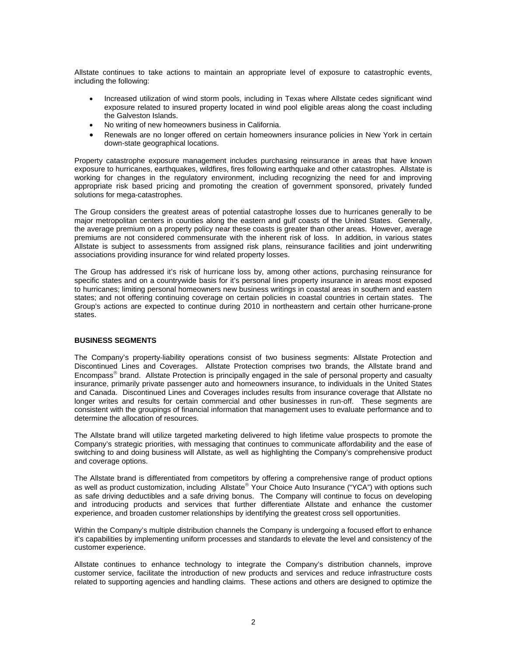Allstate continues to take actions to maintain an appropriate level of exposure to catastrophic events, including the following:

- Increased utilization of wind storm pools, including in Texas where Allstate cedes significant wind exposure related to insured property located in wind pool eligible areas along the coast including the Galveston Islands.
- No writing of new homeowners business in California.
- Renewals are no longer offered on certain homeowners insurance policies in New York in certain down-state geographical locations.

Property catastrophe exposure management includes purchasing reinsurance in areas that have known exposure to hurricanes, earthquakes, wildfires, fires following earthquake and other catastrophes. Allstate is working for changes in the regulatory environment, including recognizing the need for and improving appropriate risk based pricing and promoting the creation of government sponsored, privately funded solutions for mega-catastrophes.

The Group considers the greatest areas of potential catastrophe losses due to hurricanes generally to be major metropolitan centers in counties along the eastern and gulf coasts of the United States. Generally, the average premium on a property policy near these coasts is greater than other areas. However, average premiums are not considered commensurate with the inherent risk of loss. In addition, in various states Allstate is subject to assessments from assigned risk plans, reinsurance facilities and joint underwriting associations providing insurance for wind related property losses.

The Group has addressed it's risk of hurricane loss by, among other actions, purchasing reinsurance for specific states and on a countrywide basis for it's personal lines property insurance in areas most exposed to hurricanes; limiting personal homeowners new business writings in coastal areas in southern and eastern states; and not offering continuing coverage on certain policies in coastal countries in certain states. The Group's actions are expected to continue during 2010 in northeastern and certain other hurricane-prone states.

## **BUSINESS SEGMENTS**

The Company's property-liability operations consist of two business segments: Allstate Protection and Discontinued Lines and Coverages. Allstate Protection comprises two brands, the Allstate brand and Encompass® brand. Allstate Protection is principally engaged in the sale of personal property and casualty insurance, primarily private passenger auto and homeowners insurance, to individuals in the United States and Canada. Discontinued Lines and Coverages includes results from insurance coverage that Allstate no longer writes and results for certain commercial and other businesses in run-off. These segments are consistent with the groupings of financial information that management uses to evaluate performance and to determine the allocation of resources.

The Allstate brand will utilize targeted marketing delivered to high lifetime value prospects to promote the Company's strategic priorities, with messaging that continues to communicate affordability and the ease of switching to and doing business will Allstate, as well as highlighting the Company's comprehensive product and coverage options.

The Allstate brand is differentiated from competitors by offering a comprehensive range of product options as well as product customization, including Allstate® Your Choice Auto Insurance ("YCA") with options such as safe driving deductibles and a safe driving bonus. The Company will continue to focus on developing and introducing products and services that further differentiate Allstate and enhance the customer experience, and broaden customer relationships by identifying the greatest cross sell opportunities.

Within the Company's multiple distribution channels the Company is undergoing a focused effort to enhance it's capabilities by implementing uniform processes and standards to elevate the level and consistency of the customer experience.

Allstate continues to enhance technology to integrate the Company's distribution channels, improve customer service, facilitate the introduction of new products and services and reduce infrastructure costs related to supporting agencies and handling claims. These actions and others are designed to optimize the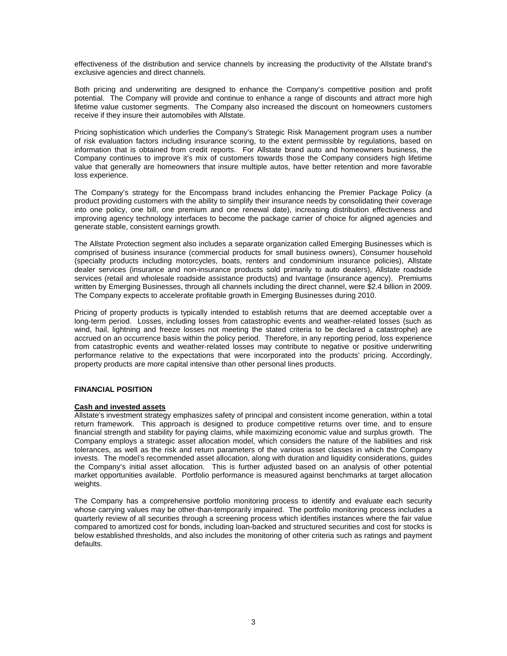effectiveness of the distribution and service channels by increasing the productivity of the Allstate brand's exclusive agencies and direct channels.

Both pricing and underwriting are designed to enhance the Company's competitive position and profit potential. The Company will provide and continue to enhance a range of discounts and attract more high lifetime value customer segments. The Company also increased the discount on homeowners customers receive if they insure their automobiles with Allstate.

Pricing sophistication which underlies the Company's Strategic Risk Management program uses a number of risk evaluation factors including insurance scoring, to the extent permissible by regulations, based on information that is obtained from credit reports. For Allstate brand auto and homeowners business, the Company continues to improve it's mix of customers towards those the Company considers high lifetime value that generally are homeowners that insure multiple autos, have better retention and more favorable loss experience.

The Company's strategy for the Encompass brand includes enhancing the Premier Package Policy (a product providing customers with the ability to simplify their insurance needs by consolidating their coverage into one policy, one bill, one premium and one renewal date), increasing distribution effectiveness and improving agency technology interfaces to become the package carrier of choice for aligned agencies and generate stable, consistent earnings growth.

The Allstate Protection segment also includes a separate organization called Emerging Businesses which is comprised of business insurance (commercial products for small business owners), Consumer household (specialty products including motorcycles, boats, renters and condominium insurance policies), Allstate dealer services (insurance and non-insurance products sold primarily to auto dealers), Allstate roadside services (retail and wholesale roadside assistance products) and Ivantage (insurance agency). Premiums written by Emerging Businesses, through all channels including the direct channel, were \$2.4 billion in 2009. The Company expects to accelerate profitable growth in Emerging Businesses during 2010.

Pricing of property products is typically intended to establish returns that are deemed acceptable over a long-term period. Losses, including losses from catastrophic events and weather-related losses (such as wind, hail, lightning and freeze losses not meeting the stated criteria to be declared a catastrophe) are accrued on an occurrence basis within the policy period. Therefore, in any reporting period, loss experience from catastrophic events and weather-related losses may contribute to negative or positive underwriting performance relative to the expectations that were incorporated into the products' pricing. Accordingly, property products are more capital intensive than other personal lines products.

## **FINANCIAL POSITION**

# **Cash and invested assets**

Allstate's investment strategy emphasizes safety of principal and consistent income generation, within a total return framework. This approach is designed to produce competitive returns over time, and to ensure financial strength and stability for paying claims, while maximizing economic value and surplus growth. The Company employs a strategic asset allocation model, which considers the nature of the liabilities and risk tolerances, as well as the risk and return parameters of the various asset classes in which the Company invests. The model's recommended asset allocation, along with duration and liquidity considerations, guides the Company's initial asset allocation. This is further adjusted based on an analysis of other potential market opportunities available. Portfolio performance is measured against benchmarks at target allocation weights.

The Company has a comprehensive portfolio monitoring process to identify and evaluate each security whose carrying values may be other-than-temporarily impaired. The portfolio monitoring process includes a quarterly review of all securities through a screening process which identifies instances where the fair value compared to amortized cost for bonds, including loan-backed and structured securities and cost for stocks is below established thresholds, and also includes the monitoring of other criteria such as ratings and payment defaults.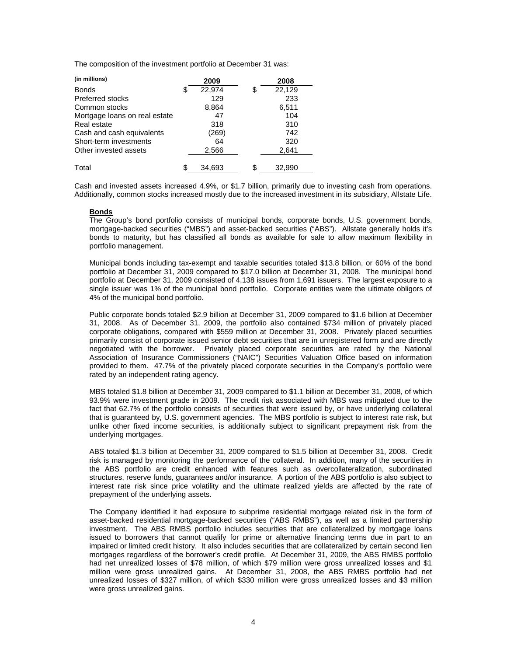The composition of the investment portfolio at December 31 was:

| (in millions)                 | 2009         | 2008         |  |
|-------------------------------|--------------|--------------|--|
| <b>Bonds</b>                  | \$<br>22,974 | \$<br>22,129 |  |
| <b>Preferred stocks</b>       | 129          | 233          |  |
| Common stocks                 | 8,864        | 6,511        |  |
| Mortgage loans on real estate | 47           | 104          |  |
| Real estate                   | 318          | 310          |  |
| Cash and cash equivalents     | (269)        | 742          |  |
| Short-term investments        | 64           | 320          |  |
| Other invested assets         | 2,566        | 2,641        |  |
|                               |              |              |  |
| Total                         | 34.693       | \$<br>32.990 |  |

Cash and invested assets increased 4.9%, or \$1.7 billion, primarily due to investing cash from operations. Additionally, common stocks increased mostly due to the increased investment in its subsidiary, Allstate Life.

# **Bonds**

The Group's bond portfolio consists of municipal bonds, corporate bonds, U.S. government bonds, mortgage-backed securities ("MBS") and asset-backed securities ("ABS"). Allstate generally holds it's bonds to maturity, but has classified all bonds as available for sale to allow maximum flexibility in portfolio management.

Municipal bonds including tax-exempt and taxable securities totaled \$13.8 billion, or 60% of the bond portfolio at December 31, 2009 compared to \$17.0 billion at December 31, 2008. The municipal bond portfolio at December 31, 2009 consisted of 4,138 issues from 1,691 issuers. The largest exposure to a single issuer was 1% of the municipal bond portfolio. Corporate entities were the ultimate obligors of 4% of the municipal bond portfolio.

Public corporate bonds totaled \$2.9 billion at December 31, 2009 compared to \$1.6 billion at December 31, 2008. As of December 31, 2009, the portfolio also contained \$734 million of privately placed corporate obligations, compared with \$559 million at December 31, 2008. Privately placed securities primarily consist of corporate issued senior debt securities that are in unregistered form and are directly negotiated with the borrower. Privately placed corporate securities are rated by the National Association of Insurance Commissioners ("NAIC") Securities Valuation Office based on information provided to them. 47.7% of the privately placed corporate securities in the Company's portfolio were rated by an independent rating agency.

MBS totaled \$1.8 billion at December 31, 2009 compared to \$1.1 billion at December 31, 2008, of which 93.9% were investment grade in 2009. The credit risk associated with MBS was mitigated due to the fact that 62.7% of the portfolio consists of securities that were issued by, or have underlying collateral that is guaranteed by, U.S. government agencies. The MBS portfolio is subject to interest rate risk, but unlike other fixed income securities, is additionally subject to significant prepayment risk from the underlying mortgages.

ABS totaled \$1.3 billion at December 31, 2009 compared to \$1.5 billion at December 31, 2008. Credit risk is managed by monitoring the performance of the collateral. In addition, many of the securities in the ABS portfolio are credit enhanced with features such as overcollateralization, subordinated structures, reserve funds, guarantees and/or insurance. A portion of the ABS portfolio is also subject to interest rate risk since price volatility and the ultimate realized yields are affected by the rate of prepayment of the underlying assets.

The Company identified it had exposure to subprime residential mortgage related risk in the form of asset-backed residential mortgage-backed securities ("ABS RMBS"), as well as a limited partnership investment. The ABS RMBS portfolio includes securities that are collateralized by mortgage loans issued to borrowers that cannot qualify for prime or alternative financing terms due in part to an impaired or limited credit history. It also includes securities that are collateralized by certain second lien mortgages regardless of the borrower's credit profile. At December 31, 2009, the ABS RMBS portfolio had net unrealized losses of \$78 million, of which \$79 million were gross unrealized losses and \$1 million were gross unrealized gains. At December 31, 2008, the ABS RMBS portfolio had net unrealized losses of \$327 million, of which \$330 million were gross unrealized losses and \$3 million were gross unrealized gains.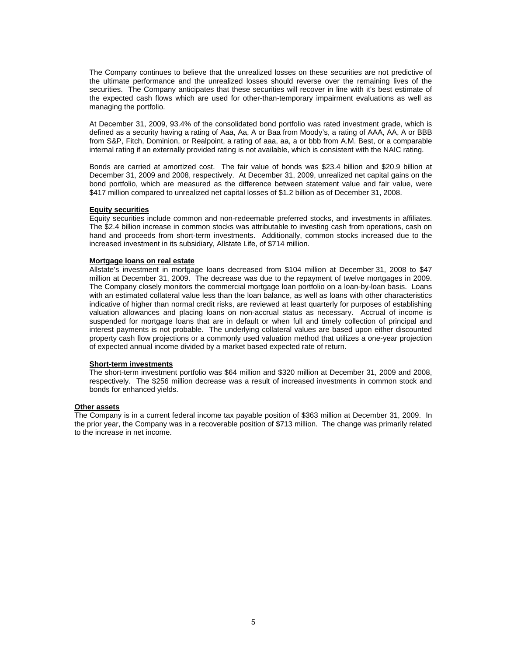The Company continues to believe that the unrealized losses on these securities are not predictive of the ultimate performance and the unrealized losses should reverse over the remaining lives of the securities. The Company anticipates that these securities will recover in line with it's best estimate of the expected cash flows which are used for other-than-temporary impairment evaluations as well as managing the portfolio.

At December 31, 2009, 93.4% of the consolidated bond portfolio was rated investment grade, which is defined as a security having a rating of Aaa, Aa, A or Baa from Moody's, a rating of AAA, AA, A or BBB from S&P, Fitch, Dominion, or Realpoint, a rating of aaa, aa, a or bbb from A.M. Best, or a comparable internal rating if an externally provided rating is not available, which is consistent with the NAIC rating.

Bonds are carried at amortized cost. The fair value of bonds was \$23.4 billion and \$20.9 billion at December 31, 2009 and 2008, respectively. At December 31, 2009, unrealized net capital gains on the bond portfolio, which are measured as the difference between statement value and fair value, were \$417 million compared to unrealized net capital losses of \$1.2 billion as of December 31, 2008.

### **Equity securities**

Equity securities include common and non-redeemable preferred stocks, and investments in affiliates. The \$2.4 billion increase in common stocks was attributable to investing cash from operations, cash on hand and proceeds from short-term investments. Additionally, common stocks increased due to the increased investment in its subsidiary, Allstate Life, of \$714 million.

### **Mortgage loans on real estate**

Allstate's investment in mortgage loans decreased from \$104 million at December 31, 2008 to \$47 million at December 31, 2009. The decrease was due to the repayment of twelve mortgages in 2009. The Company closely monitors the commercial mortgage loan portfolio on a loan-by-loan basis. Loans with an estimated collateral value less than the loan balance, as well as loans with other characteristics indicative of higher than normal credit risks, are reviewed at least quarterly for purposes of establishing valuation allowances and placing loans on non-accrual status as necessary. Accrual of income is suspended for mortgage loans that are in default or when full and timely collection of principal and interest payments is not probable. The underlying collateral values are based upon either discounted property cash flow projections or a commonly used valuation method that utilizes a one-year projection of expected annual income divided by a market based expected rate of return.

### **Short-term investments**

The short-term investment portfolio was \$64 million and \$320 million at December 31, 2009 and 2008, respectively. The \$256 million decrease was a result of increased investments in common stock and bonds for enhanced yields.

### **Other assets**

The Company is in a current federal income tax payable position of \$363 million at December 31, 2009. In the prior year, the Company was in a recoverable position of \$713 million. The change was primarily related to the increase in net income.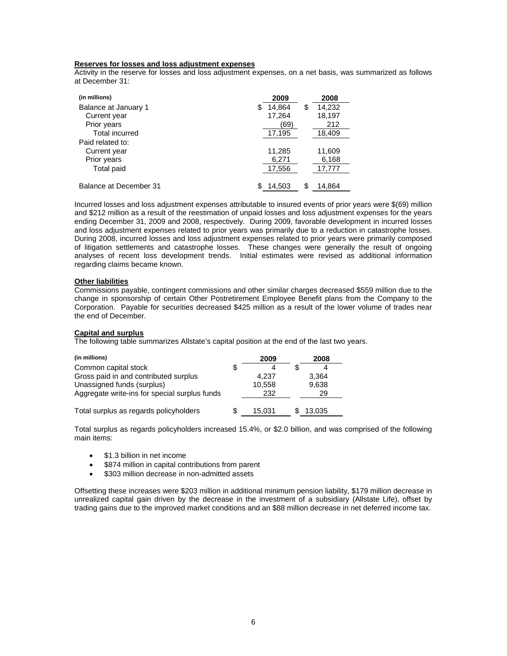## **Reserves for losses and loss adjustment expenses**

Activity in the reserve for losses and loss adjustment expenses, on a net basis, was summarized as follows at December 31:

| (in millions)          | 2009        | 2008        |
|------------------------|-------------|-------------|
| Balance at January 1   | 14,864<br>S | 14,232<br>S |
| Current year           | 17,264      | 18,197      |
| Prior years            | (69)        | 212         |
| Total incurred         | 17,195      | 18,409      |
| Paid related to:       |             |             |
| Current year           | 11.285      | 11,609      |
| Prior years            | 6,271       | 6,168       |
| Total paid             | 17,556      | 17,777      |
| Balance at December 31 | 14.503      | S<br>14,864 |
|                        |             |             |

Incurred losses and loss adjustment expenses attributable to insured events of prior years were \$(69) million and \$212 million as a result of the reestimation of unpaid losses and loss adjustment expenses for the years ending December 31, 2009 and 2008, respectively. During 2009, favorable development in incurred losses and loss adjustment expenses related to prior years was primarily due to a reduction in catastrophe losses. During 2008, incurred losses and loss adjustment expenses related to prior years were primarily composed of litigation settlements and catastrophe losses. These changes were generally the result of ongoing analyses of recent loss development trends. Initial estimates were revised as additional information regarding claims became known.

### **Other liabilities**

Commissions payable, contingent commissions and other similar charges decreased \$559 million due to the change in sponsorship of certain Other Postretirement Employee Benefit plans from the Company to the Corporation. Payable for securities decreased \$425 million as a result of the lower volume of trades near the end of December.

# **Capital and surplus**

The following table summarizes Allstate's capital position at the end of the last two years.

| (in millions)                                 | 2009         | 2008   |  |
|-----------------------------------------------|--------------|--------|--|
| Common capital stock                          | \$           |        |  |
| Gross paid in and contributed surplus         | 4.237        | 3.364  |  |
| Unassigned funds (surplus)                    | 10,558       | 9,638  |  |
| Aggregate write-ins for special surplus funds | 232          | 29     |  |
| Total surplus as regards policyholders        | \$<br>15.031 | 13.035 |  |

Total surplus as regards policyholders increased 15.4%, or \$2.0 billion, and was comprised of the following main items:

- \$1.3 billion in net income
- \$874 million in capital contributions from parent
- \$303 million decrease in non-admitted assets

Offsetting these increases were \$203 million in additional minimum pension liability, \$179 million decrease in unrealized capital gain driven by the decrease in the investment of a subsidiary (Allstate Life), offset by trading gains due to the improved market conditions and an \$88 million decrease in net deferred income tax.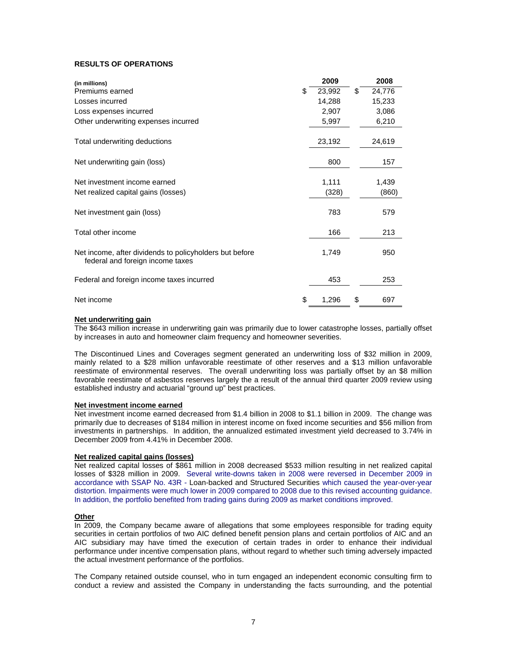# **RESULTS OF OPERATIONS**

| (in millions)                                                                               | 2009         | 2008         |
|---------------------------------------------------------------------------------------------|--------------|--------------|
| Premiums earned                                                                             | \$<br>23,992 | \$<br>24,776 |
| Losses incurred                                                                             | 14,288       | 15,233       |
| Loss expenses incurred                                                                      | 2,907        | 3,086        |
| Other underwriting expenses incurred                                                        | 5,997        | 6,210        |
| Total underwriting deductions                                                               | 23,192       | 24,619       |
| Net underwriting gain (loss)                                                                | 800          | 157          |
| Net investment income earned                                                                | 1,111        | 1,439        |
| Net realized capital gains (losses)                                                         | (328)        | (860)        |
| Net investment gain (loss)                                                                  | 783          | 579          |
| Total other income                                                                          | 166          | 213          |
| Net income, after dividends to policyholders but before<br>federal and foreign income taxes | 1,749        | 950          |
| Federal and foreign income taxes incurred                                                   | 453          | 253          |
| Net income                                                                                  | \$<br>1,296  | \$<br>697    |

### **Net underwriting gain**

The \$643 million increase in underwriting gain was primarily due to lower catastrophe losses, partially offset by increases in auto and homeowner claim frequency and homeowner severities.

The Discontinued Lines and Coverages segment generated an underwriting loss of \$32 million in 2009, mainly related to a \$28 million unfavorable reestimate of other reserves and a \$13 million unfavorable reestimate of environmental reserves. The overall underwriting loss was partially offset by an \$8 million favorable reestimate of asbestos reserves largely the a result of the annual third quarter 2009 review using established industry and actuarial "ground up" best practices.

### **Net investment income earned**

Net investment income earned decreased from \$1.4 billion in 2008 to \$1.1 billion in 2009. The change was primarily due to decreases of \$184 million in interest income on fixed income securities and \$56 million from investments in partnerships. In addition, the annualized estimated investment yield decreased to 3.74% in December 2009 from 4.41% in December 2008.

### **Net realized capital gains (losses)**

Net realized capital losses of \$861 million in 2008 decreased \$533 million resulting in net realized capital losses of \$328 million in 2009. Several write-downs taken in 2008 were reversed in December 2009 in accordance with SSAP No. 43R - Loan-backed and Structured Securities which caused the year-over-year distortion. Impairments were much lower in 2009 compared to 2008 due to this revised accounting guidance. In addition, the portfolio benefited from trading gains during 2009 as market conditions improved.

## **Other**

In 2009, the Company became aware of allegations that some employees responsible for trading equity securities in certain portfolios of two AIC defined benefit pension plans and certain portfolios of AIC and an AIC subsidiary may have timed the execution of certain trades in order to enhance their individual performance under incentive compensation plans, without regard to whether such timing adversely impacted the actual investment performance of the portfolios.

The Company retained outside counsel, who in turn engaged an independent economic consulting firm to conduct a review and assisted the Company in understanding the facts surrounding, and the potential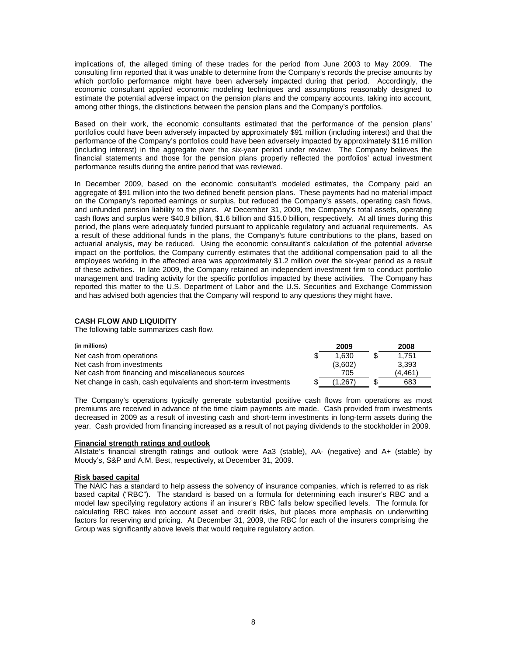implications of, the alleged timing of these trades for the period from June 2003 to May 2009. The consulting firm reported that it was unable to determine from the Company's records the precise amounts by which portfolio performance might have been adversely impacted during that period. Accordingly, the economic consultant applied economic modeling techniques and assumptions reasonably designed to estimate the potential adverse impact on the pension plans and the company accounts, taking into account, among other things, the distinctions between the pension plans and the Company's portfolios.

Based on their work, the economic consultants estimated that the performance of the pension plans' portfolios could have been adversely impacted by approximately \$91 million (including interest) and that the performance of the Company's portfolios could have been adversely impacted by approximately \$116 million (including interest) in the aggregate over the six-year period under review. The Company believes the financial statements and those for the pension plans properly reflected the portfolios' actual investment performance results during the entire period that was reviewed.

In December 2009, based on the economic consultant's modeled estimates, the Company paid an aggregate of \$91 million into the two defined benefit pension plans. These payments had no material impact on the Company's reported earnings or surplus, but reduced the Company's assets, operating cash flows, and unfunded pension liability to the plans. At December 31, 2009, the Company's total assets, operating cash flows and surplus were \$40.9 billion, \$1.6 billion and \$15.0 billion, respectively. At all times during this period, the plans were adequately funded pursuant to applicable regulatory and actuarial requirements. As a result of these additional funds in the plans, the Company's future contributions to the plans, based on actuarial analysis, may be reduced. Using the economic consultant's calculation of the potential adverse impact on the portfolios, the Company currently estimates that the additional compensation paid to all the employees working in the affected area was approximately \$1.2 million over the six-year period as a result of these activities. In late 2009, the Company retained an independent investment firm to conduct portfolio management and trading activity for the specific portfolios impacted by these activities. The Company has reported this matter to the U.S. Department of Labor and the U.S. Securities and Exchange Commission and has advised both agencies that the Company will respond to any questions they might have.

# **CASH FLOW AND LIQUIDITY**

The following table summarizes cash flow.

| (in millions)                                                   | 2009    | 2008    |
|-----------------------------------------------------------------|---------|---------|
| Net cash from operations                                        | 1.630   | 1.751   |
| Net cash from investments                                       | (3,602) | 3.393   |
| Net cash from financing and miscellaneous sources               | 705     | (4.461) |
| Net change in cash, cash equivalents and short-term investments | (1.267) | 683     |

The Company's operations typically generate substantial positive cash flows from operations as most premiums are received in advance of the time claim payments are made. Cash provided from investments decreased in 2009 as a result of investing cash and short-term investments in long-term assets during the year. Cash provided from financing increased as a result of not paying dividends to the stockholder in 2009.

### **Financial strength ratings and outlook**

Allstate's financial strength ratings and outlook were Aa3 (stable), AA- (negative) and A+ (stable) by Moody's, S&P and A.M. Best, respectively, at December 31, 2009.

# **Risk based capital**

The NAIC has a standard to help assess the solvency of insurance companies, which is referred to as risk based capital ("RBC"). The standard is based on a formula for determining each insurer's RBC and a model law specifying regulatory actions if an insurer's RBC falls below specified levels. The formula for calculating RBC takes into account asset and credit risks, but places more emphasis on underwriting factors for reserving and pricing. At December 31, 2009, the RBC for each of the insurers comprising the Group was significantly above levels that would require regulatory action.